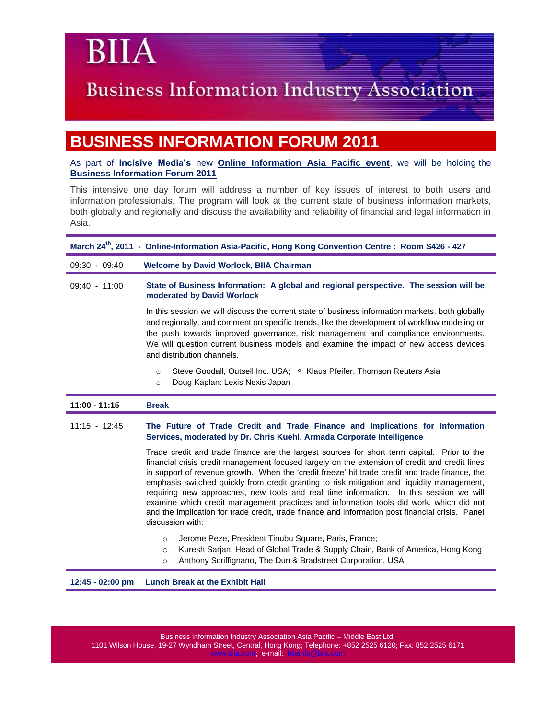### **Business Information Industry Association**

### **BUSINESS INFORMATION FORUM 2011**

As part of **Incisive Media's** new **[Online Information Asia Pacific event](http://email.online-information.co.uk/c/1IA9fiFWS8IuM4mCY)**, we will be holding the **[Business Information Forum 2011](http://www.online-information.asia/businessinfoforum.html)**

This intensive one day forum will address a number of key issues of interest to both users and information professionals. The program will look at the current state of business information markets, both globally and regionally and discuss the availability and reliability of financial and legal information in Asia.

| March 24 <sup>th</sup> , 2011 - Online-Information Asia-Pacific, Hong Kong Convention Centre: Room S426 - 427 |                                                                                                                                                                                                                                                                                                                         |  |  |
|---------------------------------------------------------------------------------------------------------------|-------------------------------------------------------------------------------------------------------------------------------------------------------------------------------------------------------------------------------------------------------------------------------------------------------------------------|--|--|
| $09:30 - 09:40$                                                                                               | <b>Welcome by David Worlock, BIIA Chairman</b>                                                                                                                                                                                                                                                                          |  |  |
| $09:40 - 11:00$                                                                                               | State of Business Information: A global and regional perspective. The session will be<br>moderated by David Worlock<br>In this session we will discuss the current state of business information markets, both globally<br>and regionally, and comment on specific trends, like the development of workflow modeling or |  |  |
|                                                                                                               | the push towards improved governance, risk management and compliance environments.<br>We will question current business models and examine the impact of new access devices<br>and distribution channels.                                                                                                               |  |  |
|                                                                                                               | Steve Goodall, Outsell Inc. USA; • Klaus Pfeifer, Thomson Reuters Asia<br>$\circ$<br>Doug Kaplan: Lexis Nexis Japan<br>$\circ$                                                                                                                                                                                          |  |  |
| 11:00 - 11:15                                                                                                 | <b>Break</b>                                                                                                                                                                                                                                                                                                            |  |  |
| $11:15 - 12:45$                                                                                               | The Future of Trade Credit and Trade Finance and Implications for Information<br>Services, moderated by Dr. Chris Kuehl, Armada Corporate Intelligence                                                                                                                                                                  |  |  |
|                                                                                                               | Trade credit and trade finance are the largest sources for short term capital. Prior to the<br>financial crisis credit management focused largely on the extension of credit and credit lines                                                                                                                           |  |  |

in support of revenue growth. When the 'credit freeze' hit trade credit and trade finance, the emphasis switched quickly from credit granting to risk mitigation and liquidity management, requiring new approaches, new tools and real time information. In this session we will examine which credit management practices and information tools did work, which did not and the implication for trade credit, trade finance and information post financial crisis. Panel discussion with:

- o Jerome Peze, President Tinubu Square, Paris, France;
- o Kuresh Sarjan, Head of Global Trade & Supply Chain, Bank of America, Hong Kong
- o Anthony Scriffignano, The Dun & Bradstreet Corporation, USA

**12:45 - 02:00 pm Lunch Break at the Exhibit Hall**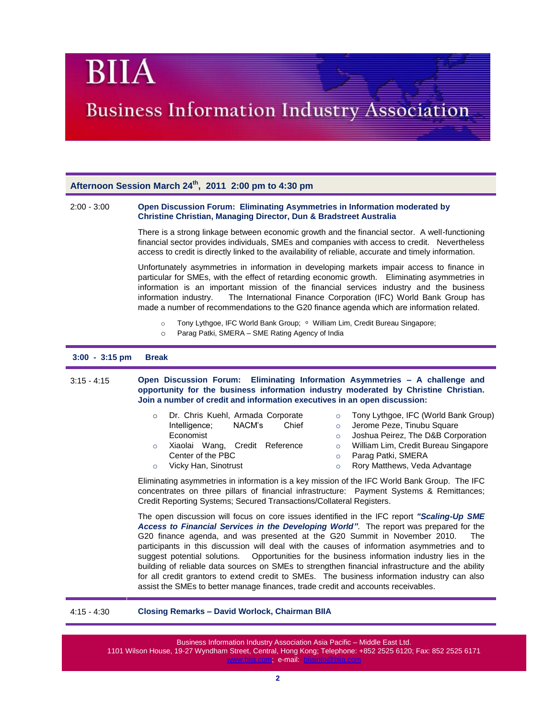## **Business Information Industry Association**

#### **Afternoon Session March 24th, 2011 2:00 pm to 4:30 pm**

#### 2:00 - 3:00 **Open Discussion Forum: Eliminating Asymmetries in Information moderated by Christine Christian, Managing Director, Dun & Bradstreet Australia**

There is a strong linkage between economic growth and the financial sector. A well-functioning financial sector provides individuals, SMEs and companies with access to credit. Nevertheless access to credit is directly linked to the availability of reliable, accurate and timely information.

Unfortunately asymmetries in information in developing markets impair access to finance in particular for SMEs, with the effect of retarding economic growth. Eliminating asymmetries in information is an important mission of the financial services industry and the business information industry. The International Finance Corporation (IFC) World Bank Group has made a number of recommendations to the G20 finance agenda which are information related.

- Tony Lythgoe, IFC World Bank Group; William Lim, Credit Bureau Singapore;
- o Parag Patki, SMERA SME Rating Agency of India

#### **3:00 - 3:15 pm Break**

3:15 - 4:15 **Open Discussion Forum: Eliminating Information Asymmetries – A challenge and opportunity for the business information industry moderated by Christine Christian. Join a number of credit and information executives in an open discussion:**

| $\circ$ | Dr. Chris Kuehl, Armada Corporate<br>Intelligence;<br>NACM's<br>Chief | o Tony Lythgoe, IFC (World Bank Group<br>Jerome Peze, Tinubu Square |
|---------|-----------------------------------------------------------------------|---------------------------------------------------------------------|
|         |                                                                       |                                                                     |
|         | Economist                                                             | Joshua Peirez, The D&B Corporation                                  |
| $\circ$ | Xiaolai Wang, Credit Reference                                        | William Lim, Credit Bureau Singapore                                |
|         | Center of the PBC                                                     | Parag Patki, SMERA                                                  |
| $\circ$ | Vicky Han, Sinotrust                                                  | ○ Rory Matthews, Veda Advantage                                     |

Eliminating asymmetries in information is a key mission of the IFC World Bank Group. The IFC concentrates on three pillars of financial infrastructure: Payment Systems & Remittances; Credit Reporting Systems; Secured Transactions/Collateral Registers.

(World Bank Group)

The open discussion will focus on core issues identified in the IFC report *"Scaling-Up SME Access to Financial Services in the Developing World"*. The report was prepared for the G20 finance agenda, and was presented at the G20 Summit in November 2010. The participants in this discussion will deal with the causes of information asymmetries and to suggest potential solutions. Opportunities for the business information industry lies in the building of reliable data sources on SMEs to strengthen financial infrastructure and the ability for all credit grantors to extend credit to SMEs. The business information industry can also assist the SMEs to better manage finances, trade credit and accounts receivables.

#### 4:15 - 4:30 **Closing Remarks – David Worlock, Chairman BIIA**

Business Information Industry Association Asia Pacific – Middle East Ltd. 1101 Wilson House, 19-27 Wyndham Street, Central, Hong Kong; Telephone: +852 2525 6120; Fax: 852 2525 6171 [www.biia.com;](http://www.biia.com/) e-mail: [biiainfo@biia.com](mailto:biiainfo@biia.com)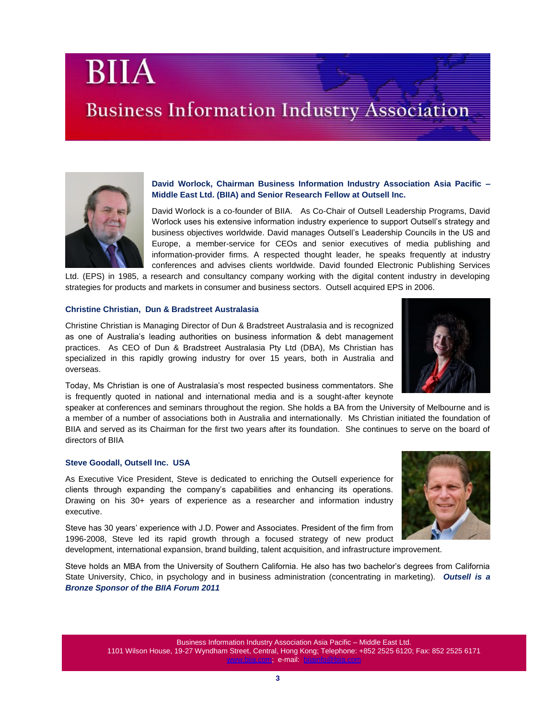Business Information Industry Association Asia Pacific – Middle East Ltd. 1101 Wilson House, 19-27 Wyndham Street, Central, Hong Kong; Telephone: +852 2525 6120; Fax: 852 2525 6171 [www.biia.com;](http://www.biia.com/) e-mail: [biiainfo@biia.com](mailto:biiainfo@biia.com)

**David Worlock, Chairman Business Information Industry Association Asia Pacific – Middle East Ltd. (BIIA) and Senior Research Fellow at Outsell Inc.**

David Worlock is a co-founder of BIIA. As Co-Chair of Outsell Leadership Programs, David Worlock uses his extensive information industry experience to support Outsell's strategy and business objectives worldwide. David manages Outsell's Leadership Councils in the US and Europe, a member-service for CEOs and senior executives of media publishing and information-provider firms. A respected thought leader, he speaks frequently at industry conferences and advises clients worldwide. David founded Electronic Publishing Services

Ltd. (EPS) in 1985, a research and consultancy company working with the digital content industry in developing strategies for products and markets in consumer and business sectors. Outsell acquired EPS in 2006.

#### **Christine Christian, Dun & Bradstreet Australasia**

Christine Christian is Managing Director of Dun & Bradstreet Australasia and is recognized as one of Australia's leading authorities on business information & debt management practices. As CEO of Dun & Bradstreet Australasia Pty Ltd (DBA), Ms Christian has specialized in this rapidly growing industry for over 15 years, both in Australia and overseas.

Today, Ms Christian is one of Australasia's most respected business commentators. She is frequently quoted in national and international media and is a sought-after keynote

speaker at conferences and seminars throughout the region. She holds a BA from the University of Melbourne and is a member of a number of associations both in Australia and internationally. Ms Christian initiated the foundation of BIIA and served as its Chairman for the first two years after its foundation. She continues to serve on the board of directors of BIIA

#### **Steve Goodall, Outsell Inc. USA**

As Executive Vice President, Steve is dedicated to enriching the Outsell experience for clients through expanding the company's capabilities and enhancing its operations. Drawing on his 30+ years of experience as a researcher and information industry executive.

Steve has 30 years' experience with J.D. Power and Associates. President of the firm from 1996-2008, Steve led its rapid growth through a focused strategy of new product development, international expansion, brand building, talent acquisition, and infrastructure improvement.

Steve holds an MBA from the University of Southern California. He also has two bachelor's degrees from California State University, Chico, in psychology and in business administration (concentrating in marketing). *Outsell is a Bronze Sponsor of the BIIA Forum 2011*







BIIA

### **Business Information Industry Association**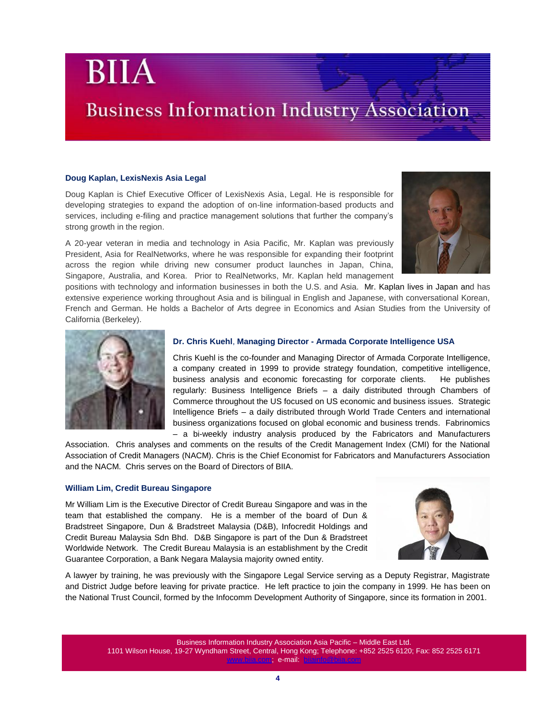### **Business Information Industry Association**

#### **Doug Kaplan, LexisNexis Asia Legal**

Doug Kaplan is Chief Executive Officer of LexisNexis Asia, Legal. He is responsible for developing strategies to expand the adoption of on-line information-based products and services, including e-filing and practice management solutions that further the company's strong growth in the region.

A 20-year veteran in media and technology in Asia Pacific, Mr. Kaplan was previously President, Asia for RealNetworks, where he was responsible for expanding their footprint across the region while driving new consumer product launches in Japan, China, Singapore, Australia, and Korea. Prior to RealNetworks, Mr. Kaplan held management



positions with technology and information businesses in both the U.S. and Asia. Mr. Kaplan lives in Japan and has extensive experience working throughout Asia and is bilingual in English and Japanese, with conversational Korean, French and German. He holds a Bachelor of Arts degree in Economics and Asian Studies from the University of California (Berkeley).



#### **Dr. Chris Kuehl**, **Managing Director - Armada Corporate Intelligence USA**

Chris Kuehl is the co-founder and Managing Director of Armada Corporate Intelligence, a company created in 1999 to provide strategy foundation, competitive intelligence, business analysis and economic forecasting for corporate clients. He publishes regularly: Business Intelligence Briefs – a daily distributed through Chambers of Commerce throughout the US focused on US economic and business issues. Strategic Intelligence Briefs – a daily distributed through World Trade Centers and international business organizations focused on global economic and business trends. Fabrinomics – a bi-weekly industry analysis produced by the Fabricators and Manufacturers

Association. Chris analyses and comments on the results of the Credit Management Index (CMI) for the National Association of Credit Managers (NACM). Chris is the Chief Economist for Fabricators and Manufacturers Association and the NACM. Chris serves on the Board of Directors of BIIA.

#### **William Lim, Credit Bureau Singapore**

Mr William Lim is the Executive Director of Credit Bureau Singapore and was in the team that established the company. He is a member of the board of Dun & Bradstreet Singapore, Dun & Bradstreet Malaysia (D&B), Infocredit Holdings and Credit Bureau Malaysia Sdn Bhd. D&B Singapore is part of the Dun & Bradstreet Worldwide Network. The Credit Bureau Malaysia is an establishment by the Credit Guarantee Corporation, a Bank Negara Malaysia majority owned entity.



A lawyer by training, he was previously with the Singapore Legal Service serving as a Deputy Registrar, Magistrate and District Judge before leaving for private practice. He left practice to join the company in 1999. He has been on the National Trust Council, formed by the Infocomm Development Authority of Singapore, since its formation in 2001.

> Business Information Industry Association Asia Pacific – Middle East Ltd. 1101 Wilson House, 19-27 Wyndham Street, Central, Hong Kong; Telephone: +852 2525 6120; Fax: 852 2525 6171 [www.biia.com;](http://www.biia.com/) e-mail: [biiainfo@biia.com](mailto:biiainfo@biia.com)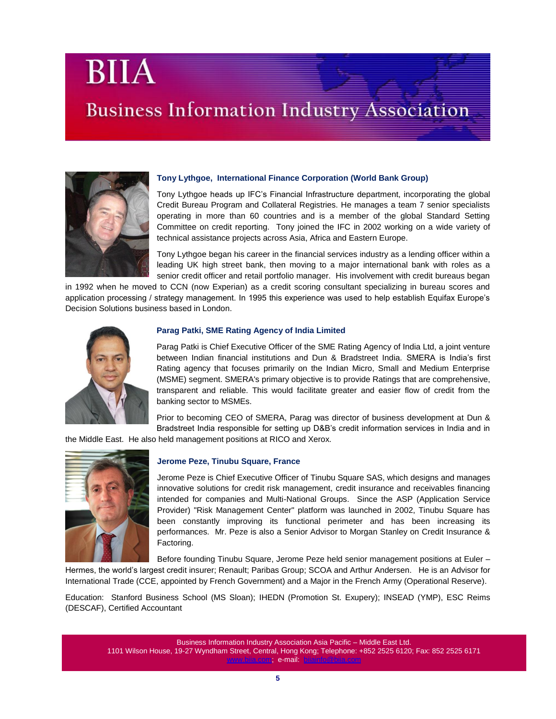## **Business Information Industry Association**



#### **Tony Lythgoe, International Finance Corporation (World Bank Group)**

Tony Lythgoe heads up IFC's Financial Infrastructure department, incorporating the global Credit Bureau Program and Collateral Registries. He manages a team 7 senior specialists operating in more than 60 countries and is a member of the global Standard Setting Committee on credit reporting. Tony joined the IFC in 2002 working on a wide variety of technical assistance projects across Asia, Africa and Eastern Europe.

Tony Lythgoe began his career in the financial services industry as a lending officer within a leading UK high street bank, then moving to a major international bank with roles as a senior credit officer and retail portfolio manager. His involvement with credit bureaus began

in 1992 when he moved to CCN (now Experian) as a credit scoring consultant specializing in bureau scores and application processing / strategy management. In 1995 this experience was used to help establish Equifax Europe's Decision Solutions business based in London.



#### **Parag Patki, SME Rating Agency of India Limited**

Parag Patki is Chief Executive Officer of the SME Rating Agency of India Ltd, a joint venture between Indian financial institutions and Dun & Bradstreet India. SMERA is India's first Rating agency that focuses primarily on the Indian Micro, Small and Medium Enterprise (MSME) segment. SMERA's primary objective is to provide Ratings that are comprehensive, transparent and reliable. This would facilitate greater and easier flow of credit from the banking sector to MSMEs.

Prior to becoming CEO of SMERA, Parag was director of business development at Dun & Bradstreet India responsible for setting up D&B's credit information services in India and in

the Middle East. He also held management positions at RICO and Xerox.



#### **Jerome Peze, Tinubu Square, France**

Jerome Peze is Chief Executive Officer of Tinubu Square SAS, which designs and manages innovative solutions for credit risk management, credit insurance and receivables financing intended for companies and Multi-National Groups. Since the ASP (Application Service Provider) "Risk Management Center" platform was launched in 2002, Tinubu Square has been constantly improving its functional perimeter and has been increasing its performances. Mr. Peze is also a Senior Advisor to Morgan Stanley on Credit Insurance & Factoring.

Before founding Tinubu Square, Jerome Peze held senior management positions at Euler –

Hermes, the world's largest credit insurer; Renault; Paribas Group; SCOA and Arthur Andersen. He is an Advisor for International Trade (CCE, appointed by French Government) and a Major in the French Army (Operational Reserve).

Education: Stanford Business School (MS Sloan); IHEDN (Promotion St. Exupery); INSEAD (YMP), ESC Reims (DESCAF), Certified Accountant

Business Information Industry Association Asia Pacific – Middle East Ltd. 1101 Wilson House, 19-27 Wyndham Street, Central, Hong Kong; Telephone: +852 2525 6120; Fax: 852 2525 6171 [www.biia.com;](http://www.biia.com/) e-mail: [biiainfo@biia.com](mailto:biiainfo@biia.com)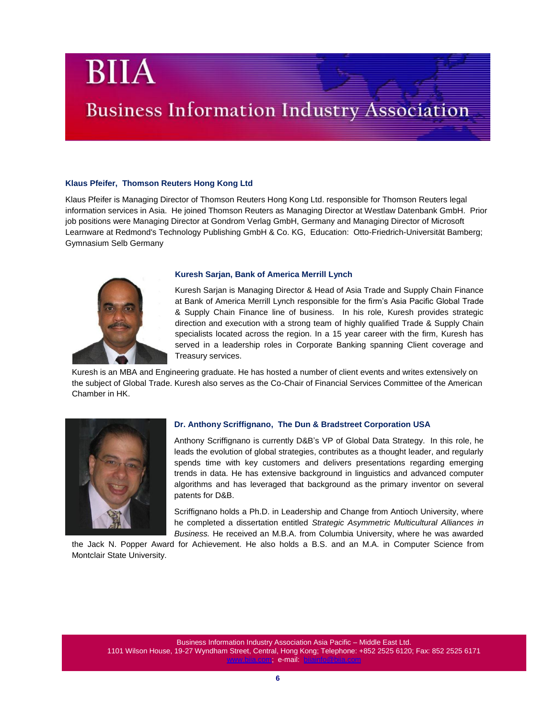## **Business Information Industry Association**

#### **Klaus Pfeifer, Thomson Reuters Hong Kong Ltd**

Klaus Pfeifer is Managing Director of Thomson Reuters Hong Kong Ltd. responsible for Thomson Reuters legal information services in Asia. He joined Thomson Reuters as Managing Director at Westlaw Datenbank GmbH. Prior job positions were Managing Director at Gondrom Verlag GmbH, Germany and Managing Director of Microsoft Learnware at Redmond's Technology Publishing GmbH & Co. KG, Education: Otto-Friedrich-Universität Bamberg; Gymnasium Selb Germany



#### **Kuresh Sarjan, [Bank of America Merrill Lynch](http://hk.linkedin.com/companies/merrill-lynch?trk=ppro_cprof)**

Kuresh Sarjan is Managing Director & Head of Asia Trade and Supply Chain Finance at Bank of America Merrill Lynch responsible for the firm's Asia Pacific Global Trade & Supply Chain Finance line of business. In his role, Kuresh provides strategic direction and execution with a strong team of highly qualified Trade & Supply Chain specialists located across the region. In a 15 year career with the firm, Kuresh has served in a leadership roles in Corporate Banking spanning Client coverage and Treasury services.

 Kuresh is an MBA and Engineering graduate. He has hosted a number of client events and writes extensively on the subject of Global Trade. Kuresh also serves as the Co-Chair of Financial Services Committee of the American Chamber in HK.



#### **Dr. Anthony Scriffignano, The Dun & Bradstreet Corporation USA**

Anthony Scriffignano is currently D&B's VP of Global Data Strategy. In this role, he leads the evolution of global strategies, contributes as a thought leader, and regularly spends time with key customers and delivers presentations regarding emerging trends in data. He has extensive background in linguistics and advanced computer algorithms and has leveraged that background as the primary inventor on several patents for D&B.

Scriffignano holds a Ph.D. in Leadership and Change from Antioch University, where he completed a dissertation entitled *Strategic Asymmetric Multicultural Alliances in Business.* He received an M.B.A. from Columbia University, where he was awarded

the Jack N. Popper Award for Achievement. He also holds a B.S. and an M.A. in Computer Science from Montclair State University.